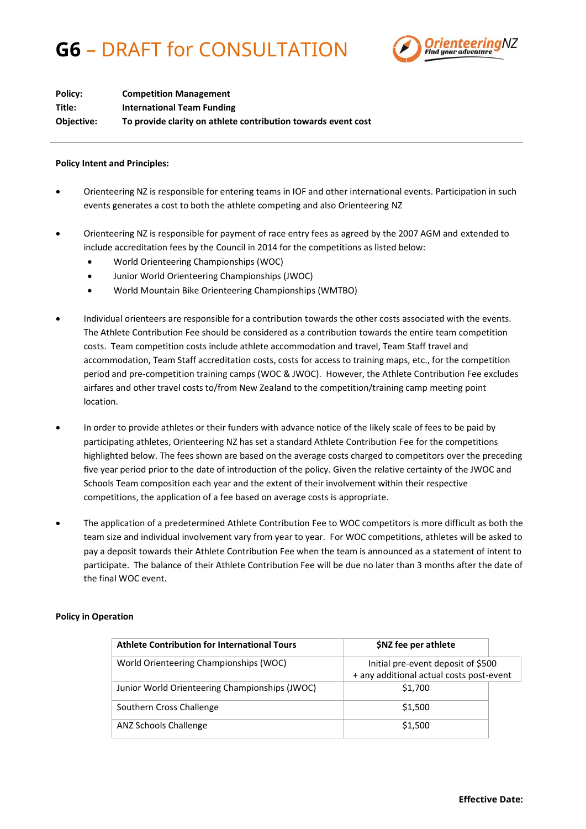## **G6** – DRAFT for CONSULTATION



| Policy:    | <b>Competition Management</b>                                 |
|------------|---------------------------------------------------------------|
| Title:     | <b>International Team Funding</b>                             |
| Objective: | To provide clarity on athlete contribution towards event cost |

## **Policy Intent and Principles:**

- Orienteering NZ is responsible for entering teams in IOF and other international events. Participation in such events generates a cost to both the athlete competing and also Orienteering NZ
- Orienteering NZ is responsible for payment of race entry fees as agreed by the 2007 AGM and extended to include accreditation fees by the Council in 2014 for the competitions as listed below:
	- World Orienteering Championships (WOC)
	- Junior World Orienteering Championships (JWOC)
	- World Mountain Bike Orienteering Championships (WMTBO)
- Individual orienteers are responsible for a contribution towards the other costs associated with the events. The Athlete Contribution Fee should be considered as a contribution towards the entire team competition costs. Team competition costs include athlete accommodation and travel, Team Staff travel and accommodation, Team Staff accreditation costs, costs for access to training maps, etc., for the competition period and pre-competition training camps (WOC & JWOC). However, the Athlete Contribution Fee excludes airfares and other travel costs to/from New Zealand to the competition/training camp meeting point location.
- In order to provide athletes or their funders with advance notice of the likely scale of fees to be paid by participating athletes, Orienteering NZ has set a standard Athlete Contribution Fee for the competitions highlighted below. The fees shown are based on the average costs charged to competitors over the preceding five year period prior to the date of introduction of the policy. Given the relative certainty of the JWOC and Schools Team composition each year and the extent of their involvement within their respective competitions, the application of a fee based on average costs is appropriate.
- The application of a predetermined Athlete Contribution Fee to WOC competitors is more difficult as both the team size and individual involvement vary from year to year. For WOC competitions, athletes will be asked to pay a deposit towards their Athlete Contribution Fee when the team is announced as a statement of intent to participate. The balance of their Athlete Contribution Fee will be due no later than 3 months after the date of the final WOC event.

## **Policy in Operation**

| Athlete Contribution for International Tours   | \$NZ fee per athlete                     |  |
|------------------------------------------------|------------------------------------------|--|
| World Orienteering Championships (WOC)         | Initial pre-event deposit of \$500       |  |
|                                                | + any additional actual costs post-event |  |
| Junior World Orienteering Championships (JWOC) | \$1,700                                  |  |
| Southern Cross Challenge                       | \$1,500                                  |  |
| ANZ Schools Challenge                          | \$1,500                                  |  |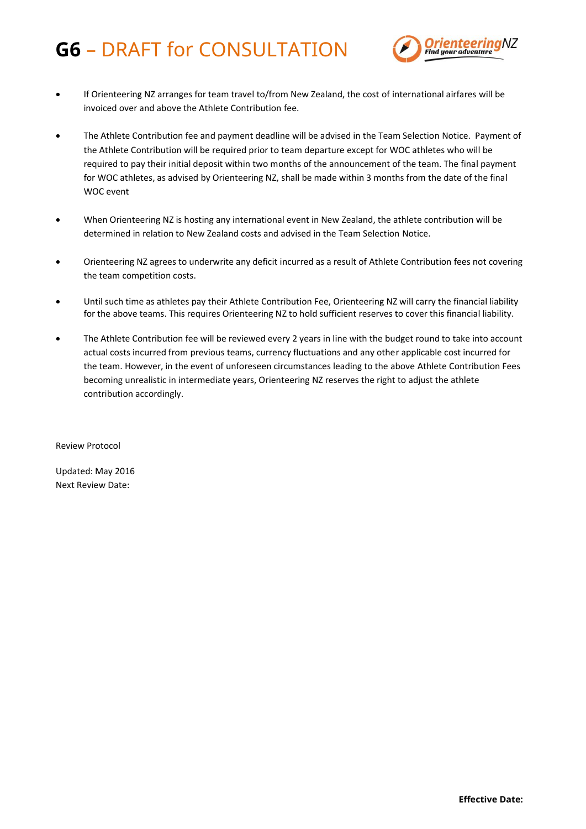## **G6** – DRAFT for CONSULTATION



- If Orienteering NZ arranges for team travel to/from New Zealand, the cost of international airfares will be invoiced over and above the Athlete Contribution fee.
- The Athlete Contribution fee and payment deadline will be advised in the Team Selection Notice. Payment of the Athlete Contribution will be required prior to team departure except for WOC athletes who will be required to pay their initial deposit within two months of the announcement of the team. The final payment for WOC athletes, as advised by Orienteering NZ, shall be made within 3 months from the date of the final WOC event
- When Orienteering NZ is hosting any international event in New Zealand, the athlete contribution will be determined in relation to New Zealand costs and advised in the Team Selection Notice.
- Orienteering NZ agrees to underwrite any deficit incurred as a result of Athlete Contribution fees not covering the team competition costs.
- Until such time as athletes pay their Athlete Contribution Fee, Orienteering NZ will carry the financial liability for the above teams. This requires Orienteering NZ to hold sufficient reserves to cover this financial liability.
- The Athlete Contribution fee will be reviewed every 2 years in line with the budget round to take into account actual costs incurred from previous teams, currency fluctuations and any other applicable cost incurred for the team. However, in the event of unforeseen circumstances leading to the above Athlete Contribution Fees becoming unrealistic in intermediate years, Orienteering NZ reserves the right to adjust the athlete contribution accordingly.

Review Protocol

Updated: May 2016 Next Review Date: